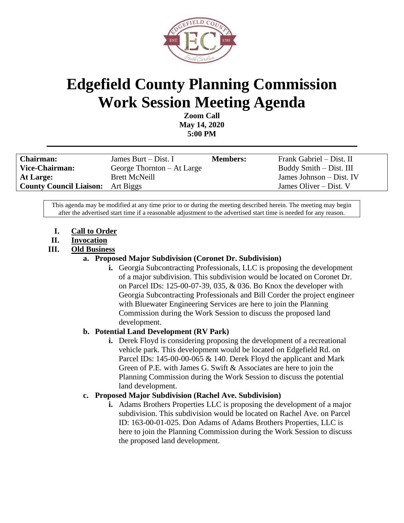

# **Edgefield County Planning Commission Work Session Meeting Agenda**

**Zoom Call May 14, 2020 5:00 PM**

| <b>Chairman:</b>                         | James Burt $-$ Dist. I       | <b>Members:</b> | Frank Gabriel – Dist. II |
|------------------------------------------|------------------------------|-----------------|--------------------------|
| Vice-Chairman:                           | George Thornton $-$ At Large |                 | Buddy Smith – Dist. III  |
| At Large:                                | <b>Brett McNeill</b>         |                 | James Johnson – Dist. IV |
| <b>County Council Liaison:</b> Art Biggs |                              |                 | James Oliver $-$ Dist. V |

This agenda may be modified at any time prior to or during the meeting described herein. The meeting may begin after the advertised start time if a reasonable adjustment to the advertised start time is needed for any reason.

- **I. Call to Order**
- **II. Invocation**
- **III. Old Business**

#### **a. Proposed Major Subdivision (Coronet Dr. Subdivision)**

**i.** Georgia Subcontracting Professionals, LLC is proposing the development of a major subdivision. This subdivision would be located on Coronet Dr. on Parcel IDs: 125-00-07-39, 035, & 036. Bo Knox the developer with Georgia Subcontracting Professionals and Bill Corder the project engineer with Bluewater Engineering Services are here to join the Planning Commission during the Work Session to discuss the proposed land development.

### **b. Potential Land Development (RV Park)**

**i.** Derek Floyd is considering proposing the development of a recreational vehicle park. This development would be located on Edgefield Rd. on Parcel IDs: 145-00-00-065 & 140. Derek Floyd the applicant and Mark Green of P.E. with James G. Swift & Associates are here to join the Planning Commission during the Work Session to discuss the potential land development.

### **c. Proposed Major Subdivision (Rachel Ave. Subdivision)**

**i.** Adams Brothers Properties LLC is proposing the development of a major subdivision. This subdivision would be located on Rachel Ave. on Parcel ID: 163-00-01-025. Don Adams of Adams Brothers Properties, LLC is here to join the Planning Commission during the Work Session to discuss the proposed land development.